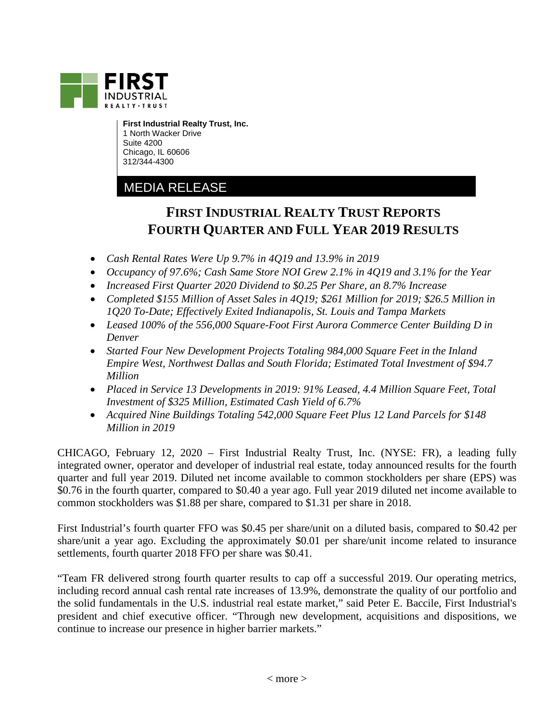

**First Industrial Realty Trust, Inc.** 1 North Wacker Drive Suite 4200 Chicago, IL 60606 312/344-4300

## MEDIA RELEASE

# **FIRST INDUSTRIAL REALTY TRUST REPORTS FOURTH QUARTER AND FULL YEAR 2019 RESULTS**

- *Cash Rental Rates Were Up 9.7% in 4Q19 and 13.9% in 2019*
- *Occupancy of 97.6%; Cash Same Store NOI Grew 2.1% in 4Q19 and 3.1% for the Year*
- *Increased First Quarter 2020 Dividend to \$0.25 Per Share, an 8.7% Increase*
- *Completed \$155 Million of Asset Sales in 4Q19; \$261 Million for 2019; \$26.5 Million in 1Q20 To-Date; Effectively Exited Indianapolis, St. Louis and Tampa Markets*
- *Leased 100% of the 556,000 Square-Foot First Aurora Commerce Center Building D in Denver*
- *Started Four New Development Projects Totaling 984,000 Square Feet in the Inland Empire West, Northwest Dallas and South Florida; Estimated Total Investment of \$94.7 Million*
- *Placed in Service 13 Developments in 2019: 91% Leased, 4.4 Million Square Feet, Total Investment of \$325 Million, Estimated Cash Yield of 6.7%*
- *Acquired Nine Buildings Totaling 542,000 Square Feet Plus 12 Land Parcels for \$148 Million in 2019*

CHICAGO, February 12, 2020 – First Industrial Realty Trust, Inc. (NYSE: FR), a leading fully integrated owner, operator and developer of industrial real estate, today announced results for the fourth quarter and full year 2019. Diluted net income available to common stockholders per share (EPS) was \$0.76 in the fourth quarter, compared to \$0.40 a year ago. Full year 2019 diluted net income available to common stockholders was \$1.88 per share, compared to \$1.31 per share in 2018.

First Industrial's fourth quarter FFO was \$0.45 per share/unit on a diluted basis, compared to \$0.42 per share/unit a year ago. Excluding the approximately \$0.01 per share/unit income related to insurance settlements, fourth quarter 2018 FFO per share was \$0.41.

"Team FR delivered strong fourth quarter results to cap off a successful 2019. Our operating metrics, including record annual cash rental rate increases of 13.9%, demonstrate the quality of our portfolio and the solid fundamentals in the U.S. industrial real estate market," said Peter E. Baccile, First Industrial's president and chief executive officer. "Through new development, acquisitions and dispositions, we continue to increase our presence in higher barrier markets."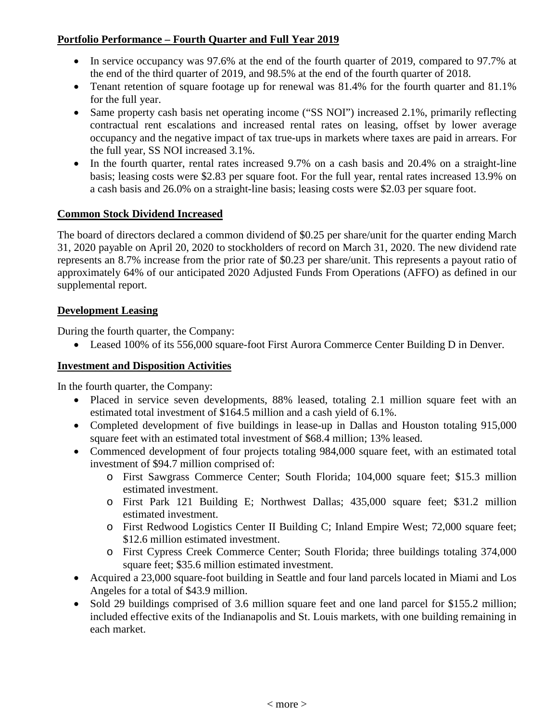### **Portfolio Performance – Fourth Quarter and Full Year 2019**

- In service occupancy was 97.6% at the end of the fourth quarter of 2019, compared to 97.7% at the end of the third quarter of 2019, and 98.5% at the end of the fourth quarter of 2018.
- Tenant retention of square footage up for renewal was 81.4% for the fourth quarter and 81.1% for the full year.
- Same property cash basis net operating income ("SS NOI") increased 2.1%, primarily reflecting contractual rent escalations and increased rental rates on leasing, offset by lower average occupancy and the negative impact of tax true-ups in markets where taxes are paid in arrears. For the full year, SS NOI increased 3.1%.
- In the fourth quarter, rental rates increased 9.7% on a cash basis and 20.4% on a straight-line basis; leasing costs were \$2.83 per square foot. For the full year, rental rates increased 13.9% on a cash basis and 26.0% on a straight-line basis; leasing costs were \$2.03 per square foot.

#### **Common Stock Dividend Increased**

The board of directors declared a common dividend of \$0.25 per share/unit for the quarter ending March 31, 2020 payable on April 20, 2020 to stockholders of record on March 31, 2020. The new dividend rate represents an 8.7% increase from the prior rate of \$0.23 per share/unit. This represents a payout ratio of approximately 64% of our anticipated 2020 Adjusted Funds From Operations (AFFO) as defined in our supplemental report.

### **Development Leasing**

During the fourth quarter, the Company:

• Leased 100% of its 556,000 square-foot First Aurora Commerce Center Building D in Denver.

### **Investment and Disposition Activities**

In the fourth quarter, the Company:

- Placed in service seven developments, 88% leased, totaling 2.1 million square feet with an estimated total investment of \$164.5 million and a cash yield of 6.1%.
- Completed development of five buildings in lease-up in Dallas and Houston totaling 915,000 square feet with an estimated total investment of \$68.4 million; 13% leased.
- Commenced development of four projects totaling 984,000 square feet, with an estimated total investment of \$94.7 million comprised of:
	- o First Sawgrass Commerce Center; South Florida; 104,000 square feet; \$15.3 million estimated investment.
	- o First Park 121 Building E; Northwest Dallas; 435,000 square feet; \$31.2 million estimated investment.
	- o First Redwood Logistics Center II Building C; Inland Empire West; 72,000 square feet; \$12.6 million estimated investment.
	- o First Cypress Creek Commerce Center; South Florida; three buildings totaling 374,000 square feet; \$35.6 million estimated investment.
- Acquired a 23,000 square-foot building in Seattle and four land parcels located in Miami and Los Angeles for a total of \$43.9 million.
- Sold 29 buildings comprised of 3.6 million square feet and one land parcel for \$155.2 million; included effective exits of the Indianapolis and St. Louis markets, with one building remaining in each market.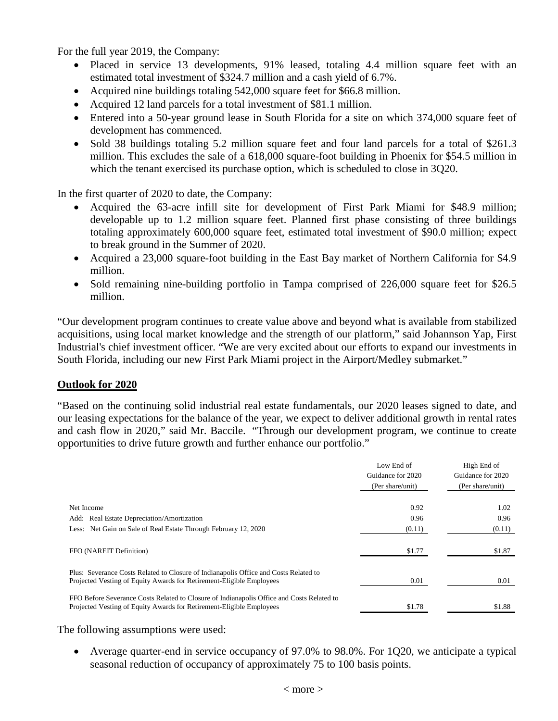For the full year 2019, the Company:

- Placed in service 13 developments, 91% leased, totaling 4.4 million square feet with an estimated total investment of \$324.7 million and a cash yield of 6.7%.
- Acquired nine buildings totaling 542,000 square feet for \$66.8 million.
- Acquired 12 land parcels for a total investment of \$81.1 million.
- Entered into a 50-year ground lease in South Florida for a site on which 374,000 square feet of development has commenced.
- Sold 38 buildings totaling 5.2 million square feet and four land parcels for a total of \$261.3 million. This excludes the sale of a 618,000 square-foot building in Phoenix for \$54.5 million in which the tenant exercised its purchase option, which is scheduled to close in 3Q20.

In the first quarter of 2020 to date, the Company:

- Acquired the 63-acre infill site for development of First Park Miami for \$48.9 million; developable up to 1.2 million square feet. Planned first phase consisting of three buildings totaling approximately 600,000 square feet, estimated total investment of \$90.0 million; expect to break ground in the Summer of 2020.
- Acquired a 23,000 square-foot building in the East Bay market of Northern California for \$4.9 million.
- Sold remaining nine-building portfolio in Tampa comprised of 226,000 square feet for \$26.5 million.

"Our development program continues to create value above and beyond what is available from stabilized acquisitions, using local market knowledge and the strength of our platform," said Johannson Yap, First Industrial's chief investment officer. "We are very excited about our efforts to expand our investments in South Florida, including our new First Park Miami project in the Airport/Medley submarket."

#### **Outlook for 2020**

"Based on the continuing solid industrial real estate fundamentals, our 2020 leases signed to date, and our leasing expectations for the balance of the year, we expect to deliver additional growth in rental rates and cash flow in 2020," said Mr. Baccile. "Through our development program, we continue to create opportunities to drive future growth and further enhance our portfolio."

|                                                                                                                                                                   | Low End of<br>Guidance for 2020<br>(Per share/unit) | High End of<br>Guidance for 2020<br>(Per share/unit) |
|-------------------------------------------------------------------------------------------------------------------------------------------------------------------|-----------------------------------------------------|------------------------------------------------------|
| Net Income                                                                                                                                                        | 0.92                                                | 1.02                                                 |
| Add: Real Estate Depreciation/Amortization                                                                                                                        | 0.96                                                | 0.96                                                 |
| Less: Net Gain on Sale of Real Estate Through February 12, 2020                                                                                                   | (0.11)                                              | (0.11)                                               |
| FFO (NAREIT Definition)                                                                                                                                           | \$1.77                                              | \$1.87                                               |
| Plus: Severance Costs Related to Closure of Indianapolis Office and Costs Related to<br>Projected Vesting of Equity Awards for Retirement-Eligible Employees      | 0.01                                                | 0.01                                                 |
| FFO Before Severance Costs Related to Closure of Indianapolis Office and Costs Related to<br>Projected Vesting of Equity Awards for Retirement-Eligible Employees | \$1.78                                              | \$1.88                                               |

The following assumptions were used:

• Average quarter-end in service occupancy of 97.0% to 98.0%. For 1Q20, we anticipate a typical seasonal reduction of occupancy of approximately 75 to 100 basis points.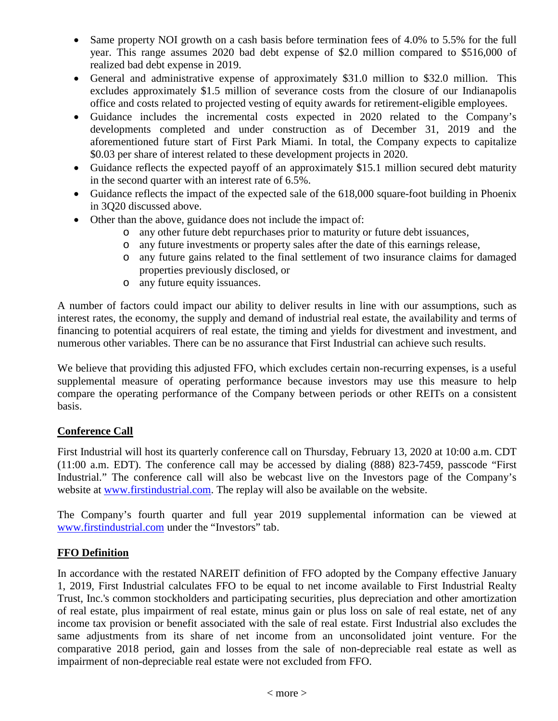- Same property NOI growth on a cash basis before termination fees of 4.0% to 5.5% for the full year. This range assumes 2020 bad debt expense of \$2.0 million compared to \$516,000 of realized bad debt expense in 2019.
- General and administrative expense of approximately \$31.0 million to \$32.0 million. This excludes approximately \$1.5 million of severance costs from the closure of our Indianapolis office and costs related to projected vesting of equity awards for retirement-eligible employees.
- Guidance includes the incremental costs expected in 2020 related to the Company's developments completed and under construction as of December 31, 2019 and the aforementioned future start of First Park Miami. In total, the Company expects to capitalize \$0.03 per share of interest related to these development projects in 2020.
- Guidance reflects the expected payoff of an approximately \$15.1 million secured debt maturity in the second quarter with an interest rate of 6.5%.
- Guidance reflects the impact of the expected sale of the 618,000 square-foot building in Phoenix in 3Q20 discussed above.
- Other than the above, guidance does not include the impact of:
	- o any other future debt repurchases prior to maturity or future debt issuances,
	- o any future investments or property sales after the date of this earnings release,
	- o any future gains related to the final settlement of two insurance claims for damaged properties previously disclosed, or
	- o any future equity issuances.

A number of factors could impact our ability to deliver results in line with our assumptions, such as interest rates, the economy, the supply and demand of industrial real estate, the availability and terms of financing to potential acquirers of real estate, the timing and yields for divestment and investment, and numerous other variables. There can be no assurance that First Industrial can achieve such results.

We believe that providing this adjusted FFO, which excludes certain non-recurring expenses, is a useful supplemental measure of operating performance because investors may use this measure to help compare the operating performance of the Company between periods or other REITs on a consistent basis.

#### **Conference Call**

First Industrial will host its quarterly conference call on Thursday, February 13, 2020 at 10:00 a.m. CDT (11:00 a.m. EDT). The conference call may be accessed by dialing (888) 823-7459, passcode "First Industrial." The conference call will also be webcast live on the Investors page of the Company's website at [www.firstindustrial.com.](http://www.firstindustrial.com/) The replay will also be available on the website.

The Company's fourth quarter and full year 2019 supplemental information can be viewed at [www.firstindustrial.com](http://www.firstindustrial.com/) under the "Investors" tab.

#### **FFO Definition**

In accordance with the restated NAREIT definition of FFO adopted by the Company effective January 1, 2019, First Industrial calculates FFO to be equal to net income available to First Industrial Realty Trust, Inc.'s common stockholders and participating securities, plus depreciation and other amortization of real estate, plus impairment of real estate, minus gain or plus loss on sale of real estate, net of any income tax provision or benefit associated with the sale of real estate. First Industrial also excludes the same adjustments from its share of net income from an unconsolidated joint venture. For the comparative 2018 period, gain and losses from the sale of non-depreciable real estate as well as impairment of non-depreciable real estate were not excluded from FFO.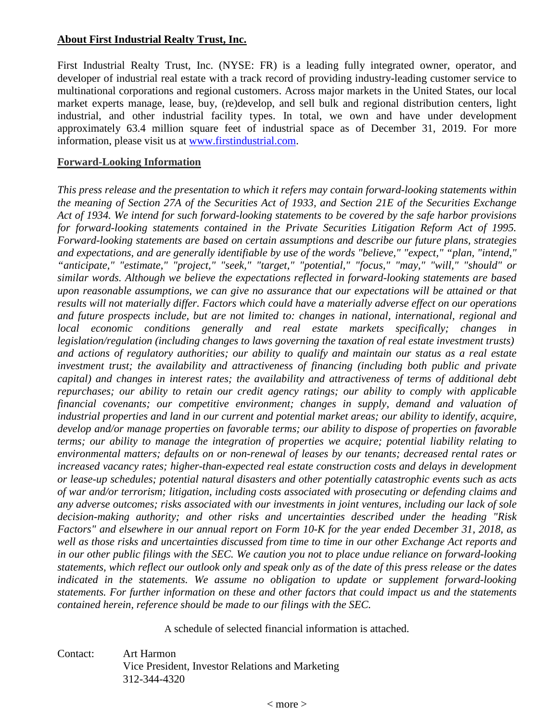#### **About First Industrial Realty Trust, Inc.**

First Industrial Realty Trust, Inc. (NYSE: FR) is a leading fully integrated owner, operator, and developer of industrial real estate with a track record of providing industry-leading customer service to multinational corporations and regional customers. Across major markets in the United States, our local market experts manage, lease, buy, (re)develop, and sell bulk and regional distribution centers, light industrial, and other industrial facility types. In total, we own and have under development approximately 63.4 million square feet of industrial space as of December 31, 2019. For more information, please visit us at [www.firstindustrial.com.](http://www.firstindustrial.com/)

#### **Forward-Looking Information**

*This press release and the presentation to which it refers may contain forward-looking statements within the meaning of Section 27A of the Securities Act of 1933, and Section 21E of the Securities Exchange Act of 1934. We intend for such forward-looking statements to be covered by the safe harbor provisions for forward-looking statements contained in the Private Securities Litigation Reform Act of 1995. Forward-looking statements are based on certain assumptions and describe our future plans, strategies and expectations, and are generally identifiable by use of the words "believe," "expect," "plan, "intend," "anticipate," "estimate," "project," "seek," "target," "potential," "focus," "may," "will," "should" or similar words. Although we believe the expectations reflected in forward-looking statements are based upon reasonable assumptions, we can give no assurance that our expectations will be attained or that results will not materially differ. Factors which could have a materially adverse effect on our operations and future prospects include, but are not limited to: changes in national, international, regional and local economic conditions generally and real estate markets specifically; changes in legislation/regulation (including changes to laws governing the taxation of real estate investment trusts) and actions of regulatory authorities; our ability to qualify and maintain our status as a real estate investment trust; the availability and attractiveness of financing (including both public and private capital) and changes in interest rates; the availability and attractiveness of terms of additional debt repurchases; our ability to retain our credit agency ratings; our ability to comply with applicable financial covenants; our competitive environment; changes in supply, demand and valuation of industrial properties and land in our current and potential market areas; our ability to identify, acquire, develop and/or manage properties on favorable terms; our ability to dispose of properties on favorable terms; our ability to manage the integration of properties we acquire; potential liability relating to environmental matters; defaults on or non-renewal of leases by our tenants; decreased rental rates or increased vacancy rates; higher-than-expected real estate construction costs and delays in development or lease-up schedules; potential natural disasters and other potentially catastrophic events such as acts of war and/or terrorism; litigation, including costs associated with prosecuting or defending claims and any adverse outcomes; risks associated with our investments in joint ventures, including our lack of sole decision-making authority; and other risks and uncertainties described under the heading "Risk Factors" and elsewhere in our annual report on Form 10-K for the year ended December 31, 2018, as well as those risks and uncertainties discussed from time to time in our other Exchange Act reports and in our other public filings with the SEC. We caution you not to place undue reliance on forward-looking statements, which reflect our outlook only and speak only as of the date of this press release or the dates indicated in the statements. We assume no obligation to update or supplement forward-looking statements. For further information on these and other factors that could impact us and the statements contained herein, reference should be made to our filings with the SEC.*

A schedule of selected financial information is attached.

Contact: Art Harmon Vice President, Investor Relations and Marketing 312-344-4320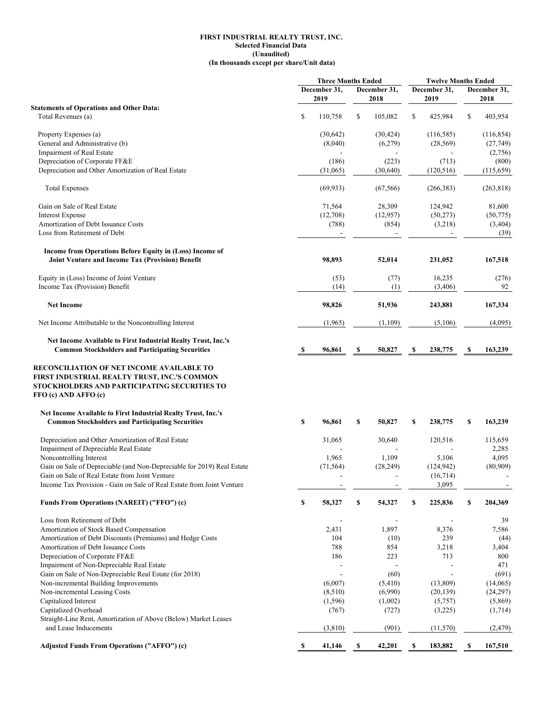#### **FIRST INDUSTRIAL REALTY TRUST, INC. Selected Financial Data (Unaudited) (In thousands except per share/Unit data)**

|                                                                                                                                                                                       |    | <b>Three Months Ended</b> |    | <b>Twelve Months Ended</b> |    |              |    |              |
|---------------------------------------------------------------------------------------------------------------------------------------------------------------------------------------|----|---------------------------|----|----------------------------|----|--------------|----|--------------|
|                                                                                                                                                                                       |    | December 31,              |    | December 31,               |    | December 31, |    | December 31, |
|                                                                                                                                                                                       |    | 2019                      |    | 2018                       |    | 2019         |    | 2018         |
| <b>Statements of Operations and Other Data:</b>                                                                                                                                       |    |                           |    |                            |    |              |    |              |
| Total Revenues (a)                                                                                                                                                                    | \$ | 110,758                   | \$ | 105,082                    | \$ | 425,984      | \$ | 403,954      |
| Property Expenses (a)                                                                                                                                                                 |    | (30,642)                  |    | (30, 424)                  |    | (116, 585)   |    | (116, 854)   |
| General and Administrative (b)                                                                                                                                                        |    | (8,040)                   |    | (6,279)                    |    | (28, 569)    |    | (27, 749)    |
| Impairment of Real Estate                                                                                                                                                             |    |                           |    |                            |    |              |    | (2,756)      |
| Depreciation of Corporate FF&E                                                                                                                                                        |    | (186)                     |    | (223)                      |    | (713)        |    |              |
| Depreciation and Other Amortization of Real Estate                                                                                                                                    |    |                           |    |                            |    |              |    | (800)        |
|                                                                                                                                                                                       |    | (31,065)                  |    | (30,640)                   |    | (120, 516)   |    | (115,659)    |
| <b>Total Expenses</b>                                                                                                                                                                 |    | (69, 933)                 |    | (67, 566)                  |    | (266, 383)   |    | (263, 818)   |
| Gain on Sale of Real Estate                                                                                                                                                           |    | 71,564                    |    | 28,309                     |    | 124,942      |    | 81,600       |
| <b>Interest Expense</b>                                                                                                                                                               |    | (12,708)                  |    | (12, 957)                  |    | (50, 273)    |    | (50, 775)    |
| Amortization of Debt Issuance Costs                                                                                                                                                   |    | (788)                     |    | (854)                      |    | (3,218)      |    | (3, 404)     |
| Loss from Retirement of Debt                                                                                                                                                          |    | $\overline{\phantom{a}}$  |    |                            |    |              |    | (39)         |
| Income from Operations Before Equity in (Loss) Income of<br>Joint Venture and Income Tax (Provision) Benefit                                                                          |    | 98,893                    |    | 52,014                     |    | 231,052      |    | 167,518      |
|                                                                                                                                                                                       |    |                           |    |                            |    |              |    |              |
| Equity in (Loss) Income of Joint Venture                                                                                                                                              |    | (53)                      |    | (77)                       |    | 16,235       |    | (276)        |
| Income Tax (Provision) Benefit                                                                                                                                                        |    | (14)                      |    | (1)                        |    | (3,406)      |    | 92           |
| <b>Net Income</b>                                                                                                                                                                     |    | 98,826                    |    | 51,936                     |    | 243,881      |    | 167,334      |
| Net Income Attributable to the Noncontrolling Interest                                                                                                                                |    | (1,965)                   |    | (1,109)                    |    | (5,106)      |    | (4,095)      |
| Net Income Available to First Industrial Realty Trust, Inc.'s                                                                                                                         |    |                           |    |                            |    |              |    |              |
| <b>Common Stockholders and Participating Securities</b>                                                                                                                               | S  | 96,861                    | \$ | 50,827                     | S  | 238,775      | -S | 163,239      |
| FIRST INDUSTRIAL REALTY TRUST, INC.'S COMMON<br>STOCKHOLDERS AND PARTICIPATING SECURITIES TO<br>FFO (c) AND AFFO (c)<br>Net Income Available to First Industrial Realty Trust, Inc.'s |    |                           |    |                            |    |              |    |              |
| <b>Common Stockholders and Participating Securities</b>                                                                                                                               | \$ | 96,861                    | \$ | 50,827                     | S  | 238,775      | \$ | 163,239      |
| Depreciation and Other Amortization of Real Estate                                                                                                                                    |    | 31,065                    |    | 30,640                     |    | 120,516      |    | 115,659      |
| Impairment of Depreciable Real Estate                                                                                                                                                 |    |                           |    |                            |    |              |    | 2,285        |
| Noncontrolling Interest                                                                                                                                                               |    | 1,965                     |    | 1,109                      |    | 5,106        |    | 4,095        |
| Gain on Sale of Depreciable (and Non-Depreciable for 2019) Real Estate                                                                                                                |    | (71, 564)                 |    | (28, 249)                  |    | (124, 942)   |    | (80,909)     |
| Gain on Sale of Real Estate from Joint Venture                                                                                                                                        |    |                           |    |                            |    | (16, 714)    |    |              |
| Income Tax Provision - Gain on Sale of Real Estate from Joint Venture                                                                                                                 |    |                           |    |                            |    | 3,095        |    |              |
| Funds From Operations (NAREIT) ("FFO") (c)                                                                                                                                            | \$ | 58,327                    | S  | 54,327                     | \$ | 225,836      | \$ | 204,369      |
| Loss from Retirement of Debt                                                                                                                                                          |    |                           |    |                            |    |              |    | 39           |
| Amortization of Stock Based Compensation                                                                                                                                              |    | 2,431                     |    | 1,897                      |    | 8,376        |    | 7,586        |
| Amortization of Debt Discounts (Premiums) and Hedge Costs                                                                                                                             |    | 104                       |    | (10)                       |    | 239          |    | (44)         |
| Amortization of Debt Issuance Costs                                                                                                                                                   |    | 788                       |    | 854                        |    | 3,218        |    | 3,404        |
| Depreciation of Corporate FF&E                                                                                                                                                        |    | 186                       |    | 223                        |    | 713          |    | 800          |
| Impairment of Non-Depreciable Real Estate                                                                                                                                             |    |                           |    |                            |    |              |    | 471          |
| Gain on Sale of Non-Depreciable Real Estate (for 2018)                                                                                                                                |    |                           |    | (60)                       |    |              |    | (691)        |
| Non-incremental Building Improvements                                                                                                                                                 |    | (6,007)                   |    | (5,410)                    |    | (13,809)     |    | (14,065)     |
| Non-incremental Leasing Costs                                                                                                                                                         |    | (8,510)                   |    | (6,990)                    |    | (20, 139)    |    | (24,297)     |
| Capitalized Interest                                                                                                                                                                  |    | (1, 596)                  |    | (1,002)                    |    | (5,757)      |    | (5,869)      |
| Capitalized Overhead                                                                                                                                                                  |    | (767)                     |    | (727)                      |    | (3,225)      |    | (1,714)      |
| Straight-Line Rent, Amortization of Above (Below) Market Leases                                                                                                                       |    |                           |    |                            |    |              |    |              |
| and Lease Inducements                                                                                                                                                                 |    | (3,810)                   |    | (901)                      |    | (11, 570)    |    | (2, 479)     |
| Adjusted Funds From Operations ("AFFO") (c)                                                                                                                                           | S  | 41,146                    | S  | 42,201                     | S  | 183,882      | S  | 167,510      |
|                                                                                                                                                                                       |    |                           |    |                            |    |              |    |              |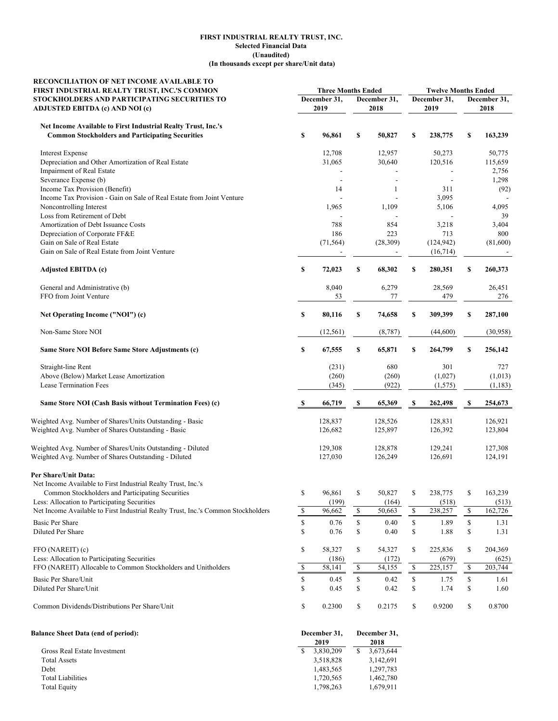#### **(In thousands except per share/Unit data) FIRST INDUSTRIAL REALTY TRUST, INC. Selected Financial Data (Unaudited)**

| RECONCILIATION OF NET INCOME AVAILABLE TO<br>FIRST INDUSTRIAL REALTY TRUST, INC.'S COMMON | <b>Three Months Ended</b> |                                              |    | <b>Twelve Months Ended</b> |                      |            |                      |                      |
|-------------------------------------------------------------------------------------------|---------------------------|----------------------------------------------|----|----------------------------|----------------------|------------|----------------------|----------------------|
| STOCKHOLDERS AND PARTICIPATING SECURITIES TO<br>ADJUSTED EBITDA (c) AND NOI (c)           |                           | December 31,<br>December 31,<br>2019<br>2018 |    |                            | December 31,<br>2019 |            | December 31,<br>2018 |                      |
| Net Income Available to First Industrial Realty Trust, Inc.'s                             |                           |                                              |    |                            |                      |            |                      |                      |
| <b>Common Stockholders and Participating Securities</b>                                   | \$                        | 96,861                                       | \$ | 50,827                     | \$                   | 238,775    | \$                   | 163,239              |
| <b>Interest Expense</b>                                                                   |                           | 12,708                                       |    | 12,957                     |                      | 50,273     |                      | 50,775               |
| Depreciation and Other Amortization of Real Estate                                        |                           | 31,065                                       |    | 30,640                     |                      | 120,516    |                      | 115,659              |
| Impairment of Real Estate                                                                 |                           |                                              |    |                            |                      |            |                      | 2,756                |
| Severance Expense (b)                                                                     |                           | $\overline{\phantom{a}}$                     |    | $\overline{a}$             |                      |            |                      | 1,298                |
| Income Tax Provision (Benefit)                                                            |                           | 14                                           |    | 1                          |                      | 311        |                      | (92)                 |
| Income Tax Provision - Gain on Sale of Real Estate from Joint Venture                     |                           |                                              |    |                            |                      | 3,095      |                      |                      |
| Noncontrolling Interest                                                                   |                           | 1,965                                        |    | 1,109                      |                      | 5,106      |                      | 4,095                |
| Loss from Retirement of Debt                                                              |                           |                                              |    |                            |                      |            |                      | 39                   |
| Amortization of Debt Issuance Costs                                                       |                           | 788                                          |    | 854                        |                      | 3,218      |                      | 3,404                |
| Depreciation of Corporate FF&E                                                            |                           | 186                                          |    | 223                        |                      | 713        |                      | 800                  |
| Gain on Sale of Real Estate                                                               |                           | (71, 564)                                    |    | (28, 309)                  |                      | (124, 942) |                      | (81,600)             |
| Gain on Sale of Real Estate from Joint Venture                                            |                           |                                              |    |                            |                      | (16, 714)  |                      |                      |
| Adjusted EBITDA (c)                                                                       | \$                        | 72,023                                       | \$ | 68,302                     | \$                   | 280,351    | \$                   | 260,373              |
| General and Administrative (b)                                                            |                           | 8,040                                        |    | 6,279                      |                      | 28,569     |                      | 26,451               |
| FFO from Joint Venture                                                                    |                           | 53                                           |    | 77                         |                      | 479        |                      | 276                  |
| Net Operating Income ("NOI") (c)                                                          | \$                        | 80,116                                       | \$ | 74,658                     | \$                   | 309,399    | \$                   | 287,100              |
| Non-Same Store NOI                                                                        |                           | (12, 561)                                    |    | (8,787)                    |                      | (44,600)   |                      | (30,958)             |
| Same Store NOI Before Same Store Adjustments (c)                                          | \$                        | 67,555                                       | \$ | 65,871                     | \$                   | 264,799    | \$                   | 256,142              |
| Straight-line Rent                                                                        |                           | (231)                                        |    | 680                        |                      | 301        |                      | 727                  |
| Above (Below) Market Lease Amortization                                                   |                           | (260)                                        |    | (260)                      |                      | (1,027)    |                      | (1,013)              |
| Lease Termination Fees                                                                    |                           | (345)                                        |    | (922)                      |                      | (1, 575)   |                      | (1, 183)             |
| Same Store NOI (Cash Basis without Termination Fees) (c)                                  | S                         | 66,719                                       | S  | 65,369                     | S                    | 262,498    | S                    | 254,673              |
| Weighted Avg. Number of Shares/Units Outstanding - Basic                                  |                           | 128,837                                      |    | 128,526                    |                      | 128,831    |                      | 126,921              |
| Weighted Avg. Number of Shares Outstanding - Basic                                        |                           | 126,682                                      |    | 125,897                    |                      | 126,392    |                      | 123,804              |
| Weighted Avg. Number of Shares/Units Outstanding - Diluted                                |                           | 129,308                                      |    | 128,878                    |                      | 129,241    |                      | 127,308              |
| Weighted Avg. Number of Shares Outstanding - Diluted                                      |                           | 127,030                                      |    | 126,249                    |                      | 126,691    |                      | 124,191              |
| Per Share/Unit Data:                                                                      |                           |                                              |    |                            |                      |            |                      |                      |
| Net Income Available to First Industrial Realty Trust, Inc.'s                             |                           |                                              |    |                            |                      |            |                      |                      |
| Common Stockholders and Participating Securities                                          | \$                        | 96,861                                       | \$ | 50,827                     | \$                   | 238,775    | \$                   | 163,239              |
| Less: Allocation to Participating Securities                                              |                           | (199)                                        |    | (164)                      |                      | (518)      |                      | (513)                |
| Net Income Available to First Industrial Realty Trust, Inc.'s Common Stockholders         | $\mathbb{S}$              | 96,662                                       | \$ | 50,663                     | \$                   | 238,257    | \$                   | 162,726              |
| <b>Basic Per Share</b>                                                                    | \$                        | 0.76                                         | \$ | 0.40                       | \$                   | 1.89       | \$                   | 1.31                 |
| Diluted Per Share                                                                         | \$                        | 0.76                                         | \$ | 0.40                       | \$                   | 1.88       | \$                   | 1.31                 |
| FFO (NAREIT) (c)                                                                          | \$                        | 58,327                                       | \$ | 54,327                     | \$                   | 225,836    | \$                   | 204,369              |
| Less: Allocation to Participating Securities                                              |                           | (186)                                        |    | (172)                      |                      | (679)      |                      | (625)                |
| FFO (NAREIT) Allocable to Common Stockholders and Unitholders                             | \$                        | 58,141                                       | \$ | 54,155                     | \$                   | 225,157    | \$                   | $\overline{203,}744$ |
| Basic Per Share/Unit                                                                      | \$                        | 0.45                                         | \$ | 0.42                       | \$                   | 1.75       | \$                   | 1.61                 |
| Diluted Per Share/Unit                                                                    | \$                        | 0.45                                         | \$ | 0.42                       | \$                   | 1.74       | \$                   | 1.60                 |
| Common Dividends/Distributions Per Share/Unit                                             | \$                        | 0.2300                                       | \$ | 0.2175                     | \$                   | 0.9200     | \$                   | 0.8700               |
| <b>Balance Sheet Data (end of period):</b>                                                |                           | December 31,<br>2019                         |    | December 31,<br>2018       |                      |            |                      |                      |
| Gross Real Estate Investment                                                              | S.                        | 3,830,209                                    | \$ | 3,673,644                  |                      |            |                      |                      |
| <b>Total Assets</b>                                                                       |                           | 3,518,828                                    |    | 3,142,691                  |                      |            |                      |                      |
| Debt                                                                                      |                           | 1,483,565                                    |    | 1,297,783                  |                      |            |                      |                      |

Debt 1,483,565 1,297,783 Total Liabilities 1,720,565 1,462,780 Total Equity 1,679,911 1,798,263